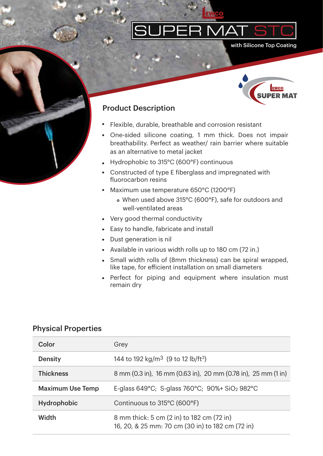

with Silicone Top Coating



## Product Description

- Flexible, durable, breathable and corrosion resistant
- One-sided silicone coating, 1 mm thick. Does not impair breathability. Perfect as weather/ rain barrier where suitable as an alternative to metal jacket
- Hydrophobic to 315°C (600°F) continuous
- Constructed of type E fiberglass and impregnated with fluorocarbon resins
- Maximum use temperature 650°C (1200°F)
	- When used above 315°C (600°F), safe for outdoors and well-ventilated areas
- Very good thermal conductivity  $\bullet$
- Easy to handle, fabricate and install  $\bullet$
- Dust generation is nil
- Available in various width rolls up to 180 cm (72 in.)
- Small width rolls of (8mm thickness) can be spiral wrapped, like tape, for efficient installation on small diameters
- Perfect for piping and equipment where insulation must  $\bullet$ remain dry

## Physical Properties

| Color                   | Grey                                                                                          |
|-------------------------|-----------------------------------------------------------------------------------------------|
| <b>Density</b>          | 144 to 192 kg/m <sup>3</sup> (9 to 12 lb/ft <sup>3</sup> )                                    |
| <b>Thickness</b>        | 8 mm (0.3 in), 16 mm (0.63 in), 20 mm (0.78 in), 25 mm (1 in)                                 |
| <b>Maximum Use Temp</b> | E-glass 649°C; S-glass 760°C; 90%+ $SiO2$ 982°C                                               |
| <b>Hydrophobic</b>      | Continuous to 315°C (600°F)                                                                   |
| Width                   | 8 mm thick: 5 cm (2 in) to 182 cm (72 in)<br>16, 20, & 25 mm: 70 cm (30 in) to 182 cm (72 in) |